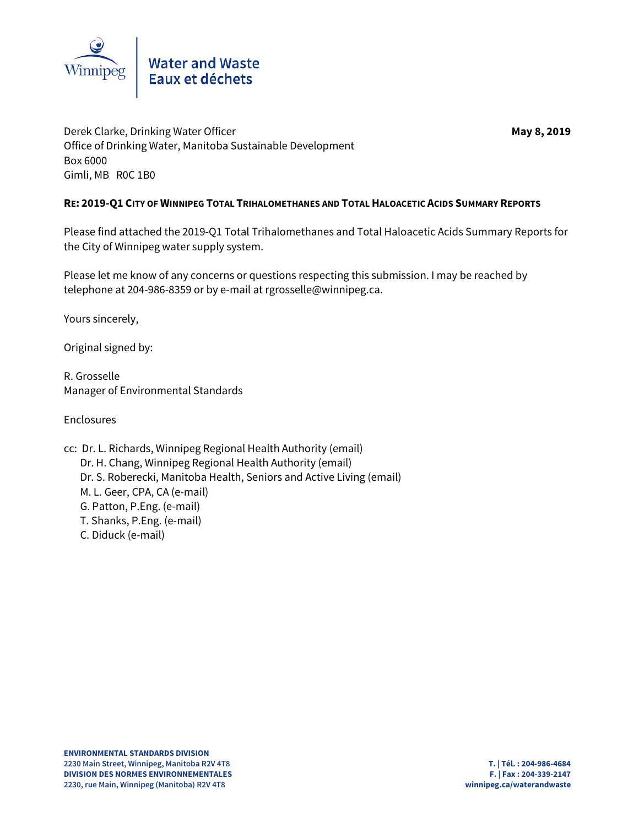

Derek Clarke, Drinking Water Officer **May 8, 2019** and May 8, 2019 Office of Drinking Water, Manitoba Sustainable Development Box 6000 Gimli, MB R0C 1B0

### **RE: 2019-Q1 CITY OF WINNIPEG TOTAL TRIHALOMETHANES AND TOTAL HALOACETIC ACIDS SUMMARY REPORTS**

Please find attached the 2019-Q1 Total Trihalomethanes and Total Haloacetic Acids Summary Reports for the City of Winnipeg water supply system.

Please let me know of any concerns or questions respecting this submission. I may be reached by telephone at 204-986-8359 or by e-mail at rgrosselle@winnipeg.ca.

Yours sincerely,

Original signed by:

R. Grosselle Manager of Environmental Standards

Enclosures

cc: Dr. L. Richards, Winnipeg Regional Health Authority (email) Dr. H. Chang, Winnipeg Regional Health Authority (email) Dr. S. Roberecki, Manitoba Health, Seniors and Active Living (email) M. L. Geer, CPA, CA (e-mail) G. Patton, P.Eng. (e-mail) T. Shanks, P.Eng. (e-mail) C. Diduck (e-mail)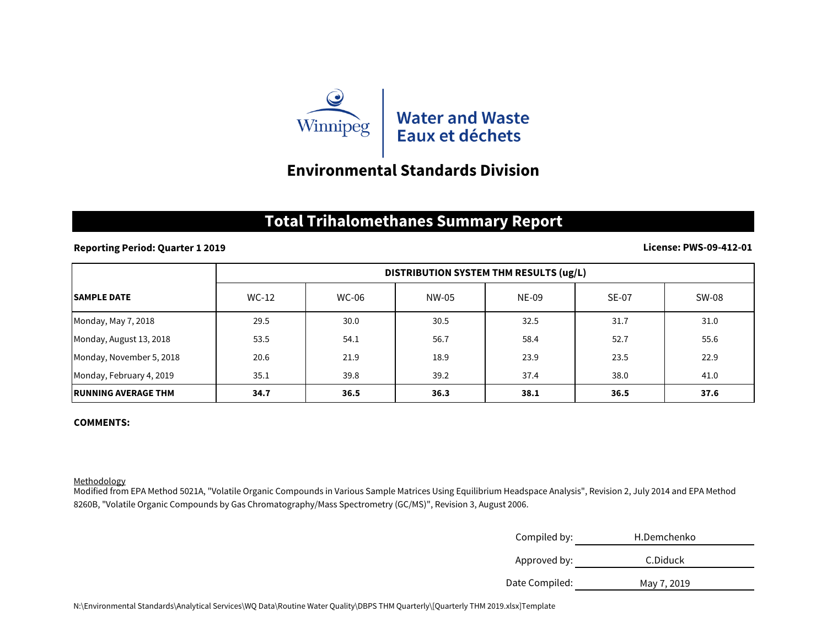

# **Environmental Standards Division**

## **Total Trihalomethanes Summary Report**

### **Reporting Period: Quarter 1 2019**

### **License: PWS-09-412-01**

|                             | DISTRIBUTION SYSTEM THM RESULTS (ug/L) |              |       |              |              |       |
|-----------------------------|----------------------------------------|--------------|-------|--------------|--------------|-------|
| <b>SAMPLE DATE</b>          | WC-12                                  | <b>WC-06</b> | NW-05 | <b>NE-09</b> | <b>SE-07</b> | SW-08 |
| Monday, May 7, 2018         | 29.5                                   | 30.0         | 30.5  | 32.5         | 31.7         | 31.0  |
| Monday, August 13, 2018     | 53.5                                   | 54.1         | 56.7  | 58.4         | 52.7         | 55.6  |
| Monday, November 5, 2018    | 20.6                                   | 21.9         | 18.9  | 23.9         | 23.5         | 22.9  |
| Monday, February 4, 2019    | 35.1                                   | 39.8         | 39.2  | 37.4         | 38.0         | 41.0  |
| <b>IRUNNING AVERAGE THM</b> | 34.7                                   | 36.5         | 36.3  | 38.1         | 36.5         | 37.6  |

### **COMMENTS:**

#### Methodology

Modified from EPA Method 5021A, "Volatile Organic Compounds in Various Sample Matrices Using Equilibrium Headspace Analysis", Revision 2, July 2014 and EPA Method 8260B, "Volatile Organic Compounds by Gas Chromatography/Mass Spectrometry (GC/MS)", Revision 3, August 2006.

| Compiled by:   | H.Demchenko |
|----------------|-------------|
| Approved by:   | C.Diduck    |
| Date Compiled: | May 7, 2019 |